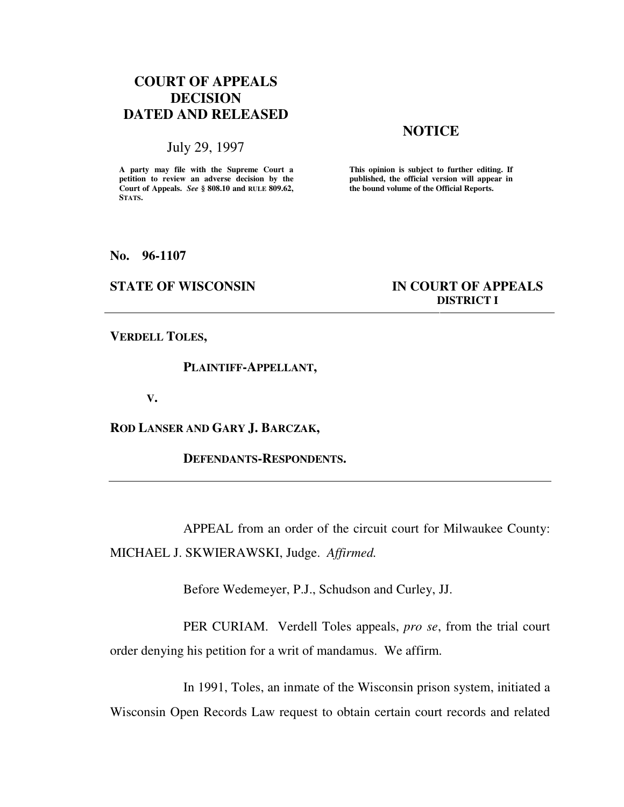# **COURT OF APPEALS DECISION DATED AND RELEASED**

## July 29, 1997

**A party may file with the Supreme Court a petition to review an adverse decision by the Court of Appeals.** *See* **§ 808.10 and RULE 809.62, STATS.**

# **NOTICE**

**This opinion is subject to further editing. If published, the official version will appear in the bound volume of the Official Reports.** 

### **No. 96-1107**

# **STATE OF WISCONSIN IN COURT OF APPEALS DISTRICT I**

**VERDELL TOLES,** 

 **PLAINTIFF-APPELLANT,** 

**V.** 

**ROD LANSER AND GARY J. BARCZAK,** 

 **DEFENDANTS-RESPONDENTS.** 

 APPEAL from an order of the circuit court for Milwaukee County: MICHAEL J. SKWIERAWSKI, Judge. *Affirmed.*

Before Wedemeyer, P.J., Schudson and Curley, JJ.

 PER CURIAM. Verdell Toles appeals, *pro se*, from the trial court order denying his petition for a writ of mandamus. We affirm.

 In 1991, Toles, an inmate of the Wisconsin prison system, initiated a Wisconsin Open Records Law request to obtain certain court records and related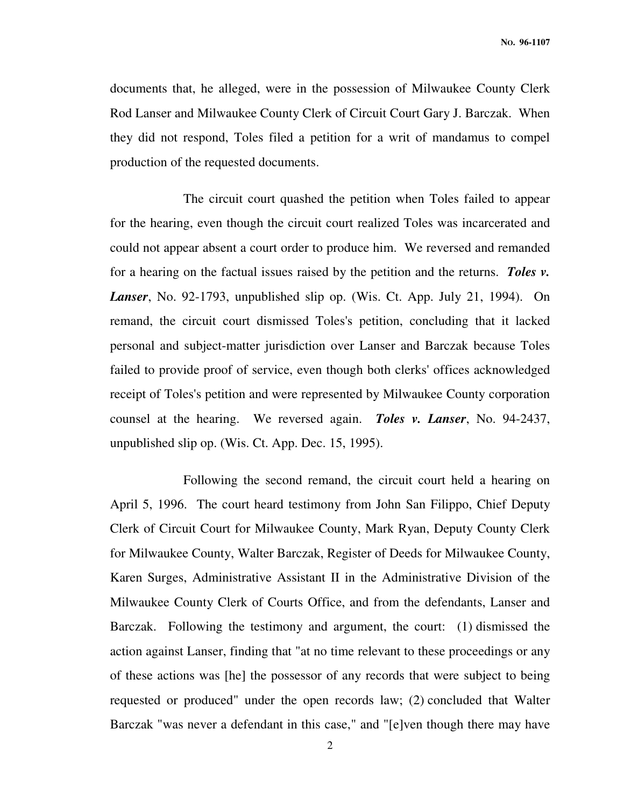documents that, he alleged, were in the possession of Milwaukee County Clerk Rod Lanser and Milwaukee County Clerk of Circuit Court Gary J. Barczak. When they did not respond, Toles filed a petition for a writ of mandamus to compel production of the requested documents.

 The circuit court quashed the petition when Toles failed to appear for the hearing, even though the circuit court realized Toles was incarcerated and could not appear absent a court order to produce him. We reversed and remanded for a hearing on the factual issues raised by the petition and the returns. *Toles v. Lanser*, No. 92-1793, unpublished slip op. (Wis. Ct. App. July 21, 1994). On remand, the circuit court dismissed Toles's petition, concluding that it lacked personal and subject-matter jurisdiction over Lanser and Barczak because Toles failed to provide proof of service, even though both clerks' offices acknowledged receipt of Toles's petition and were represented by Milwaukee County corporation counsel at the hearing. We reversed again. *Toles v. Lanser*, No. 94-2437, unpublished slip op. (Wis. Ct. App. Dec. 15, 1995).

 Following the second remand, the circuit court held a hearing on April 5, 1996. The court heard testimony from John San Filippo, Chief Deputy Clerk of Circuit Court for Milwaukee County, Mark Ryan, Deputy County Clerk for Milwaukee County, Walter Barczak, Register of Deeds for Milwaukee County, Karen Surges, Administrative Assistant II in the Administrative Division of the Milwaukee County Clerk of Courts Office, and from the defendants, Lanser and Barczak. Following the testimony and argument, the court: (1) dismissed the action against Lanser, finding that "at no time relevant to these proceedings or any of these actions was [he] the possessor of any records that were subject to being requested or produced" under the open records law; (2) concluded that Walter Barczak "was never a defendant in this case," and "[e]ven though there may have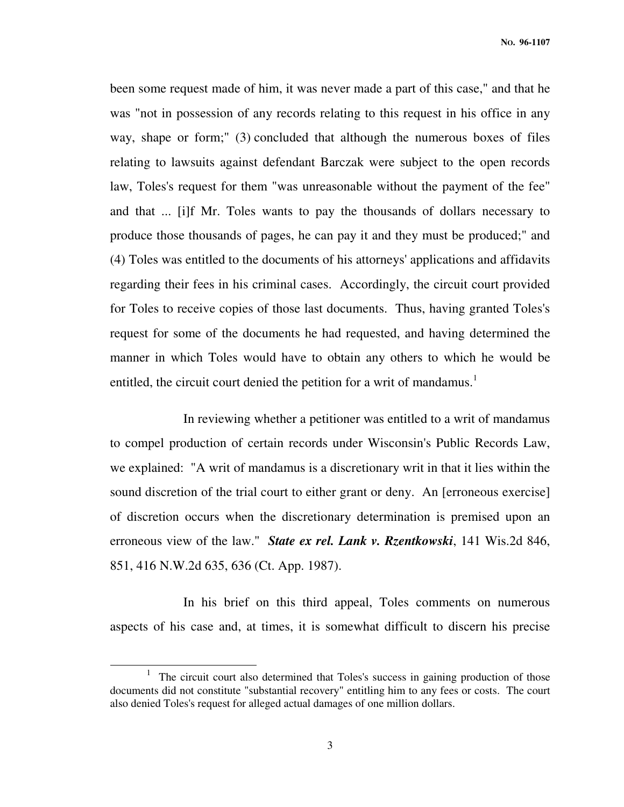been some request made of him, it was never made a part of this case," and that he was "not in possession of any records relating to this request in his office in any way, shape or form;" (3) concluded that although the numerous boxes of files relating to lawsuits against defendant Barczak were subject to the open records law, Toles's request for them "was unreasonable without the payment of the fee" and that ... [i]f Mr. Toles wants to pay the thousands of dollars necessary to produce those thousands of pages, he can pay it and they must be produced;" and (4) Toles was entitled to the documents of his attorneys' applications and affidavits regarding their fees in his criminal cases. Accordingly, the circuit court provided for Toles to receive copies of those last documents. Thus, having granted Toles's request for some of the documents he had requested, and having determined the manner in which Toles would have to obtain any others to which he would be entitled, the circuit court denied the petition for a writ of mandamus.<sup>1</sup>

 In reviewing whether a petitioner was entitled to a writ of mandamus to compel production of certain records under Wisconsin's Public Records Law, we explained: "A writ of mandamus is a discretionary writ in that it lies within the sound discretion of the trial court to either grant or deny. An [erroneous exercise] of discretion occurs when the discretionary determination is premised upon an erroneous view of the law." *State ex rel. Lank v. Rzentkowski*, 141 Wis.2d 846, 851, 416 N.W.2d 635, 636 (Ct. App. 1987).

 In his brief on this third appeal, Toles comments on numerous aspects of his case and, at times, it is somewhat difficult to discern his precise

j

<sup>&</sup>lt;sup>1</sup> The circuit court also determined that Toles's success in gaining production of those documents did not constitute "substantial recovery" entitling him to any fees or costs. The court also denied Toles's request for alleged actual damages of one million dollars.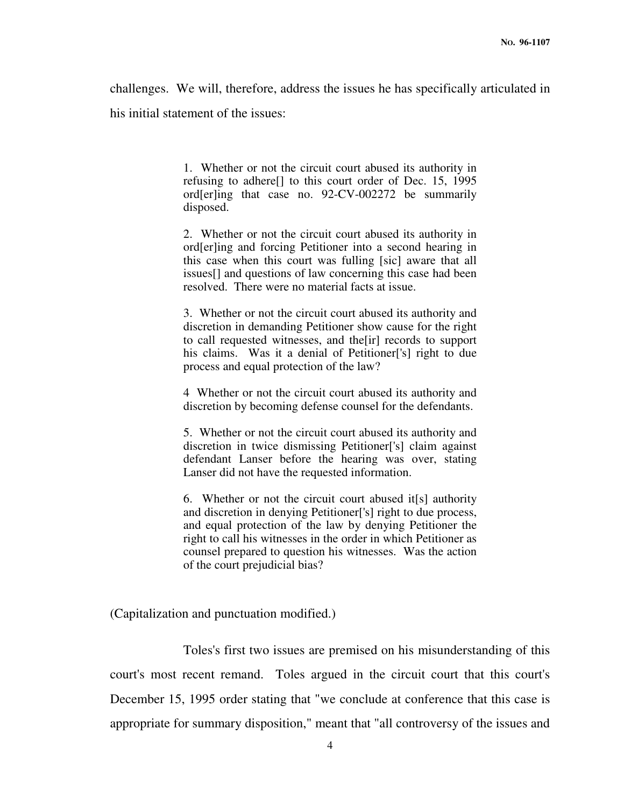challenges. We will, therefore, address the issues he has specifically articulated in his initial statement of the issues:

> 1. Whether or not the circuit court abused its authority in refusing to adhere[] to this court order of Dec. 15, 1995 ord[er]ing that case no. 92-CV-002272 be summarily disposed.

> 2. Whether or not the circuit court abused its authority in ord[er]ing and forcing Petitioner into a second hearing in this case when this court was fulling [sic] aware that all issues[] and questions of law concerning this case had been resolved. There were no material facts at issue.

> 3. Whether or not the circuit court abused its authority and discretion in demanding Petitioner show cause for the right to call requested witnesses, and the[ir] records to support his claims. Was it a denial of Petitioner<sup>['s]</sup> right to due process and equal protection of the law?

> 4 Whether or not the circuit court abused its authority and discretion by becoming defense counsel for the defendants.

> 5. Whether or not the circuit court abused its authority and discretion in twice dismissing Petitioner['s] claim against defendant Lanser before the hearing was over, stating Lanser did not have the requested information.

> 6. Whether or not the circuit court abused it[s] authority and discretion in denying Petitioner['s] right to due process, and equal protection of the law by denying Petitioner the right to call his witnesses in the order in which Petitioner as counsel prepared to question his witnesses. Was the action of the court prejudicial bias?

(Capitalization and punctuation modified.)

 Toles's first two issues are premised on his misunderstanding of this court's most recent remand. Toles argued in the circuit court that this court's December 15, 1995 order stating that "we conclude at conference that this case is appropriate for summary disposition," meant that "all controversy of the issues and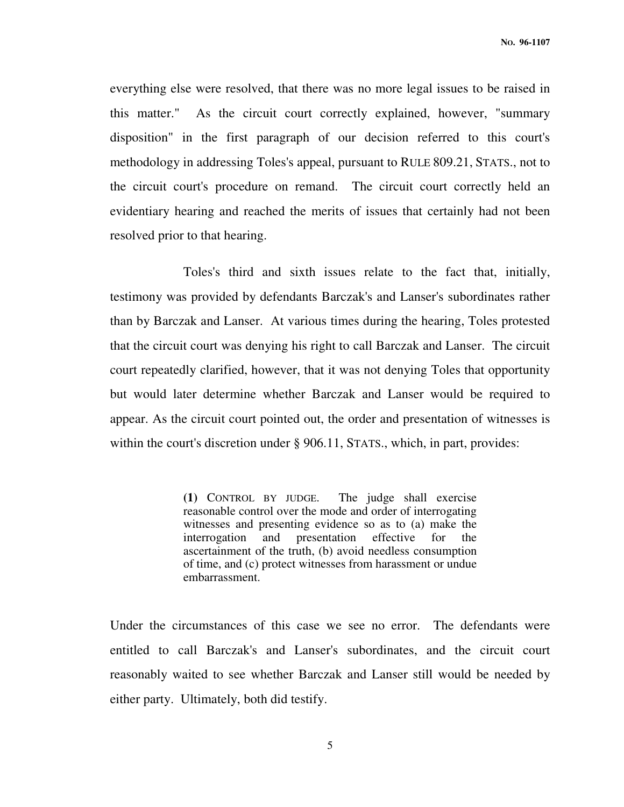everything else were resolved, that there was no more legal issues to be raised in this matter." As the circuit court correctly explained, however, "summary disposition" in the first paragraph of our decision referred to this court's methodology in addressing Toles's appeal, pursuant to RULE 809.21, STATS., not to the circuit court's procedure on remand. The circuit court correctly held an evidentiary hearing and reached the merits of issues that certainly had not been resolved prior to that hearing.

 Toles's third and sixth issues relate to the fact that, initially, testimony was provided by defendants Barczak's and Lanser's subordinates rather than by Barczak and Lanser. At various times during the hearing, Toles protested that the circuit court was denying his right to call Barczak and Lanser. The circuit court repeatedly clarified, however, that it was not denying Toles that opportunity but would later determine whether Barczak and Lanser would be required to appear. As the circuit court pointed out, the order and presentation of witnesses is within the court's discretion under § 906.11, STATS., which, in part, provides:

> **(1)** CONTROL BY JUDGE. The judge shall exercise reasonable control over the mode and order of interrogating witnesses and presenting evidence so as to (a) make the interrogation and presentation effective for the ascertainment of the truth, (b) avoid needless consumption of time, and (c) protect witnesses from harassment or undue embarrassment.

Under the circumstances of this case we see no error. The defendants were entitled to call Barczak's and Lanser's subordinates, and the circuit court reasonably waited to see whether Barczak and Lanser still would be needed by either party. Ultimately, both did testify.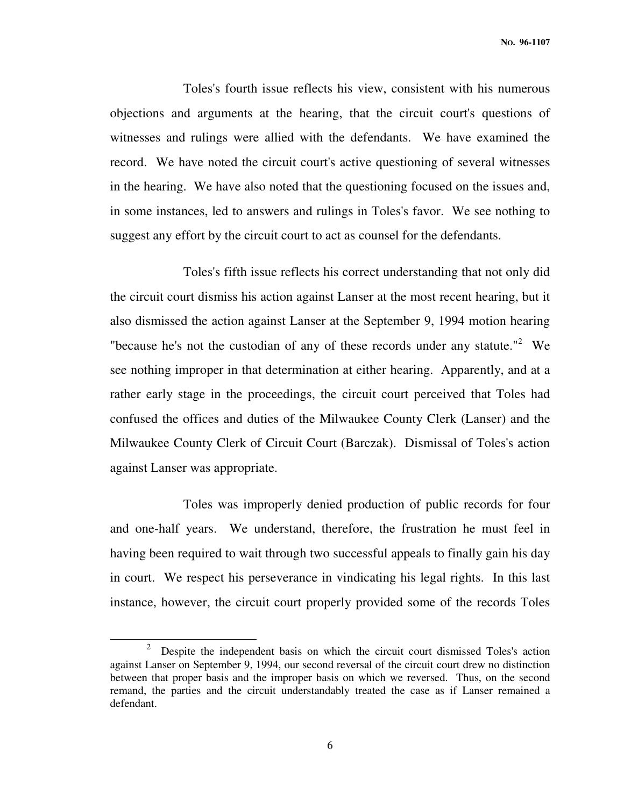Toles's fourth issue reflects his view, consistent with his numerous objections and arguments at the hearing, that the circuit court's questions of witnesses and rulings were allied with the defendants. We have examined the record. We have noted the circuit court's active questioning of several witnesses in the hearing. We have also noted that the questioning focused on the issues and, in some instances, led to answers and rulings in Toles's favor. We see nothing to suggest any effort by the circuit court to act as counsel for the defendants.

 Toles's fifth issue reflects his correct understanding that not only did the circuit court dismiss his action against Lanser at the most recent hearing, but it also dismissed the action against Lanser at the September 9, 1994 motion hearing "because he's not the custodian of any of these records under any statute."<sup>2</sup> We see nothing improper in that determination at either hearing. Apparently, and at a rather early stage in the proceedings, the circuit court perceived that Toles had confused the offices and duties of the Milwaukee County Clerk (Lanser) and the Milwaukee County Clerk of Circuit Court (Barczak). Dismissal of Toles's action against Lanser was appropriate.

 Toles was improperly denied production of public records for four and one-half years. We understand, therefore, the frustration he must feel in having been required to wait through two successful appeals to finally gain his day in court. We respect his perseverance in vindicating his legal rights. In this last instance, however, the circuit court properly provided some of the records Toles

-

<sup>2</sup> Despite the independent basis on which the circuit court dismissed Toles's action against Lanser on September 9, 1994, our second reversal of the circuit court drew no distinction between that proper basis and the improper basis on which we reversed. Thus, on the second remand, the parties and the circuit understandably treated the case as if Lanser remained a defendant.